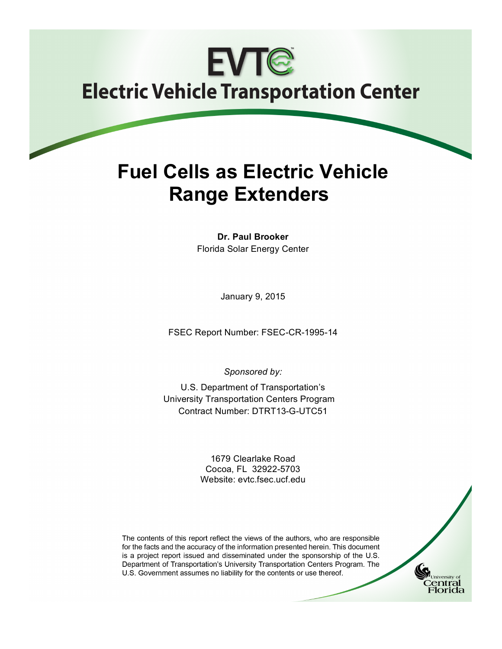# **EVTG Electric Vehicle Transportation Center**

## **Fuel Cells as Electric Vehicle Range Extenders**

**Dr. Paul Brooker** Florida Solar Energy Center

January 9, 2015

FSEC Report Number: FSEC-CR-1995-14

*Sponsored by:*

U.S. Department of Transportation's University Transportation Centers Program Contract Number: DTRT13-G-UTC51

> 1679 Clearlake Road Cocoa, FL 32922-5703 Website: evtc.fsec.ucf.edu



University o entral `lorida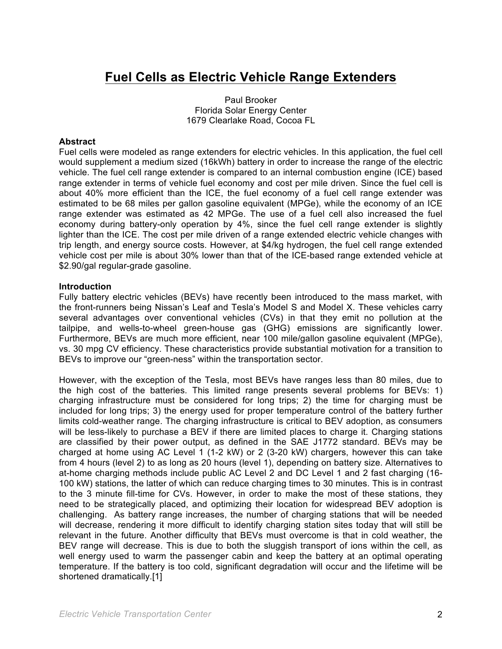### **Fuel Cells as Electric Vehicle Range Extenders**

Paul Brooker Florida Solar Energy Center 1679 Clearlake Road, Cocoa FL

#### **Abstract**

Fuel cells were modeled as range extenders for electric vehicles. In this application, the fuel cell would supplement a medium sized (16kWh) battery in order to increase the range of the electric vehicle. The fuel cell range extender is compared to an internal combustion engine (ICE) based range extender in terms of vehicle fuel economy and cost per mile driven. Since the fuel cell is about 40% more efficient than the ICE, the fuel economy of a fuel cell range extender was estimated to be 68 miles per gallon gasoline equivalent (MPGe), while the economy of an ICE range extender was estimated as 42 MPGe. The use of a fuel cell also increased the fuel economy during battery-only operation by 4%, since the fuel cell range extender is slightly lighter than the ICE. The cost per mile driven of a range extended electric vehicle changes with trip length, and energy source costs. However, at \$4/kg hydrogen, the fuel cell range extended vehicle cost per mile is about 30% lower than that of the ICE-based range extended vehicle at \$2.90/gal regular-grade gasoline.

#### **Introduction**

Fully battery electric vehicles (BEVs) have recently been introduced to the mass market, with the front-runners being Nissan's Leaf and Tesla's Model S and Model X. These vehicles carry several advantages over conventional vehicles (CVs) in that they emit no pollution at the tailpipe, and wells-to-wheel green-house gas (GHG) emissions are significantly lower. Furthermore, BEVs are much more efficient, near 100 mile/gallon gasoline equivalent (MPGe), vs. 30 mpg CV efficiency. These characteristics provide substantial motivation for a transition to BEVs to improve our "green-ness" within the transportation sector.

However, with the exception of the Tesla, most BEVs have ranges less than 80 miles, due to the high cost of the batteries. This limited range presents several problems for BEVs: 1) charging infrastructure must be considered for long trips; 2) the time for charging must be included for long trips; 3) the energy used for proper temperature control of the battery further limits cold-weather range. The charging infrastructure is critical to BEV adoption, as consumers will be less-likely to purchase a BEV if there are limited places to charge it. Charging stations are classified by their power output, as defined in the SAE J1772 standard. BEVs may be charged at home using AC Level 1 (1-2 kW) or 2 (3-20 kW) chargers, however this can take from 4 hours (level 2) to as long as 20 hours (level 1), depending on battery size. Alternatives to at-home charging methods include public AC Level 2 and DC Level 1 and 2 fast charging (16- 100 kW) stations, the latter of which can reduce charging times to 30 minutes. This is in contrast to the 3 minute fill-time for CVs. However, in order to make the most of these stations, they need to be strategically placed, and optimizing their location for widespread BEV adoption is challenging. As battery range increases, the number of charging stations that will be needed will decrease, rendering it more difficult to identify charging station sites today that will still be relevant in the future. Another difficulty that BEVs must overcome is that in cold weather, the BEV range will decrease. This is due to both the sluggish transport of ions within the cell, as well energy used to warm the passenger cabin and keep the battery at an optimal operating temperature. If the battery is too cold, significant degradation will occur and the lifetime will be shortened dramatically.[1]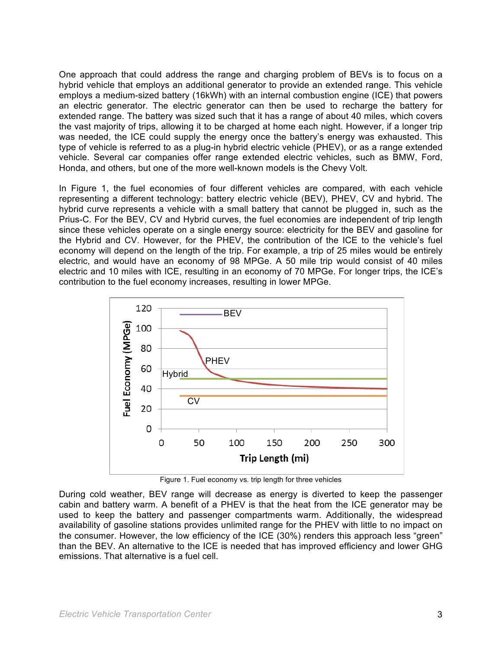One approach that could address the range and charging problem of BEVs is to focus on a hybrid vehicle that employs an additional generator to provide an extended range. This vehicle employs a medium-sized battery (16kWh) with an internal combustion engine (ICE) that powers an electric generator. The electric generator can then be used to recharge the battery for extended range. The battery was sized such that it has a range of about 40 miles, which covers the vast majority of trips, allowing it to be charged at home each night. However, if a longer trip was needed, the ICE could supply the energy once the battery's energy was exhausted. This type of vehicle is referred to as a plug-in hybrid electric vehicle (PHEV), or as a range extended vehicle. Several car companies offer range extended electric vehicles, such as BMW, Ford, Honda, and others, but one of the more well-known models is the Chevy Volt.

In Figure 1, the fuel economies of four different vehicles are compared, with each vehicle representing a different technology: battery electric vehicle (BEV), PHEV, CV and hybrid. The hybrid curve represents a vehicle with a small battery that cannot be plugged in, such as the Prius-C. For the BEV, CV and Hybrid curves, the fuel economies are independent of trip length since these vehicles operate on a single energy source: electricity for the BEV and gasoline for the Hybrid and CV. However, for the PHEV, the contribution of the ICE to the vehicle's fuel economy will depend on the length of the trip. For example, a trip of 25 miles would be entirely electric, and would have an economy of 98 MPGe. A 50 mile trip would consist of 40 miles electric and 10 miles with ICE, resulting in an economy of 70 MPGe. For longer trips, the ICE's contribution to the fuel economy increases, resulting in lower MPGe.



Figure 1. Fuel economy vs. trip length for three vehicles

During cold weather, BEV range will decrease as energy is diverted to keep the passenger cabin and battery warm. A benefit of a PHEV is that the heat from the ICE generator may be used to keep the battery and passenger compartments warm. Additionally, the widespread availability of gasoline stations provides unlimited range for the PHEV with little to no impact on the consumer. However, the low efficiency of the ICE (30%) renders this approach less "green" than the BEV. An alternative to the ICE is needed that has improved efficiency and lower GHG emissions. That alternative is a fuel cell.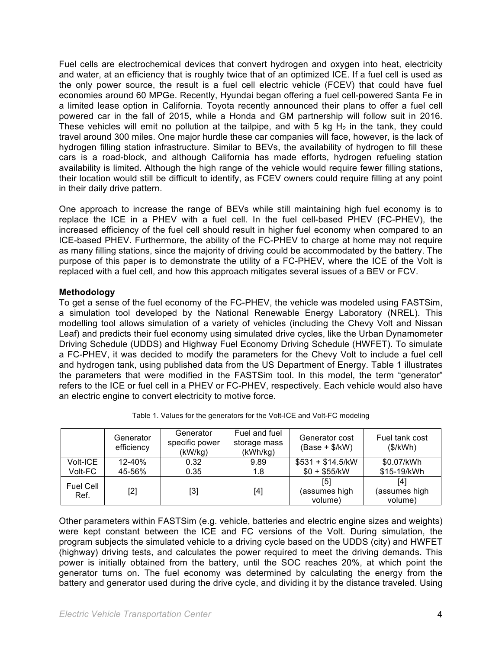Fuel cells are electrochemical devices that convert hydrogen and oxygen into heat, electricity and water, at an efficiency that is roughly twice that of an optimized ICE. If a fuel cell is used as the only power source, the result is a fuel cell electric vehicle (FCEV) that could have fuel economies around 60 MPGe. Recently, Hyundai began offering a fuel cell-powered Santa Fe in a limited lease option in California. Toyota recently announced their plans to offer a fuel cell powered car in the fall of 2015, while a Honda and GM partnership will follow suit in 2016. These vehicles will emit no pollution at the tailpipe, and with 5 kg  $H_2$  in the tank, they could travel around 300 miles. One major hurdle these car companies will face, however, is the lack of hydrogen filling station infrastructure. Similar to BEVs, the availability of hydrogen to fill these cars is a road-block, and although California has made efforts, hydrogen refueling station availability is limited. Although the high range of the vehicle would require fewer filling stations, their location would still be difficult to identify, as FCEV owners could require filling at any point in their daily drive pattern.

One approach to increase the range of BEVs while still maintaining high fuel economy is to replace the ICE in a PHEV with a fuel cell. In the fuel cell-based PHEV (FC-PHEV), the increased efficiency of the fuel cell should result in higher fuel economy when compared to an ICE-based PHEV. Furthermore, the ability of the FC-PHEV to charge at home may not require as many filling stations, since the majority of driving could be accommodated by the battery. The purpose of this paper is to demonstrate the utility of a FC-PHEV, where the ICE of the Volt is replaced with a fuel cell, and how this approach mitigates several issues of a BEV or FCV.

#### **Methodology**

To get a sense of the fuel economy of the FC-PHEV, the vehicle was modeled using FASTSim, a simulation tool developed by the National Renewable Energy Laboratory (NREL). This modelling tool allows simulation of a variety of vehicles (including the Chevy Volt and Nissan Leaf) and predicts their fuel economy using simulated drive cycles, like the Urban Dynamometer Driving Schedule (UDDS) and Highway Fuel Economy Driving Schedule (HWFET). To simulate a FC-PHEV, it was decided to modify the parameters for the Chevy Volt to include a fuel cell and hydrogen tank, using published data from the US Department of Energy. Table 1 illustrates the parameters that were modified in the FASTSim tool. In this model, the term "generator" refers to the ICE or fuel cell in a PHEV or FC-PHEV, respectively. Each vehicle would also have an electric engine to convert electricity to motive force.

|                          | Generator<br>efficiency | Generator<br>specific power<br>(kW/kg) | Fuel and fuel<br>storage mass<br>(kWh/kg) | Generator cost<br>$(Base + $/kW)$ | Fuel tank cost<br>(\$/kWh)      |
|--------------------------|-------------------------|----------------------------------------|-------------------------------------------|-----------------------------------|---------------------------------|
| Volt-ICE                 | 12-40%                  | 0.32                                   | 9.89                                      | $$531 + $14.5/kW$                 | \$0.07/kWh                      |
| Volt-FC                  | 45-56%                  | 0.35                                   | 1.8                                       | $$0 + $55/kW$                     | \$15-19/kWh                     |
| <b>Fuel Cell</b><br>Ref. | $[2]$                   | [3]                                    | $[4]$                                     | [5]<br>(assumes high<br>volume)   | [4]<br>(assumes high<br>volume) |

|  |  | Table 1. Values for the generators for the Volt-ICE and Volt-FC modeling |
|--|--|--------------------------------------------------------------------------|
|  |  |                                                                          |

Other parameters within FASTSim (e.g. vehicle, batteries and electric engine sizes and weights) were kept constant between the ICE and FC versions of the Volt. During simulation, the program subjects the simulated vehicle to a driving cycle based on the UDDS (city) and HWFET (highway) driving tests, and calculates the power required to meet the driving demands. This power is initially obtained from the battery, until the SOC reaches 20%, at which point the generator turns on. The fuel economy was determined by calculating the energy from the battery and generator used during the drive cycle, and dividing it by the distance traveled. Using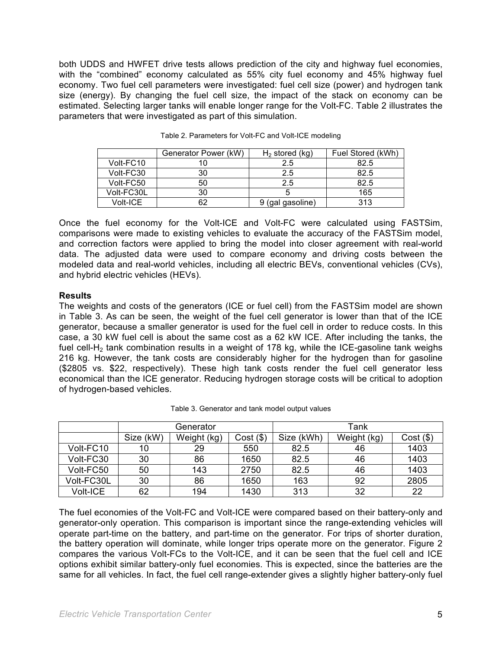both UDDS and HWFET drive tests allows prediction of the city and highway fuel economies, with the "combined" economy calculated as 55% city fuel economy and 45% highway fuel economy. Two fuel cell parameters were investigated: fuel cell size (power) and hydrogen tank size (energy). By changing the fuel cell size, the impact of the stack on economy can be estimated. Selecting larger tanks will enable longer range for the Volt-FC. Table 2 illustrates the parameters that were investigated as part of this simulation.

|            | Generator Power (kW) | $H2$ stored (kg) | Fuel Stored (kWh) |
|------------|----------------------|------------------|-------------------|
| Volt-FC10  |                      | 2.5              | 82.5              |
| Volt-FC30  | 30                   | 2.5              | 82.5              |
| Volt-FC50  | 50                   | 2.5              | 82.5              |
| Volt-FC30L | 30                   |                  | 165               |
| Volt-ICE   | 62                   | 9 (gal gasoline) | 313               |

Table 2. Parameters for Volt-FC and Volt-ICE modeling

Once the fuel economy for the Volt-ICE and Volt-FC were calculated using FASTSim, comparisons were made to existing vehicles to evaluate the accuracy of the FASTSim model, and correction factors were applied to bring the model into closer agreement with real-world data. The adjusted data were used to compare economy and driving costs between the modeled data and real-world vehicles, including all electric BEVs, conventional vehicles (CVs), and hybrid electric vehicles (HEVs).

#### **Results**

The weights and costs of the generators (ICE or fuel cell) from the FASTSim model are shown in Table 3. As can be seen, the weight of the fuel cell generator is lower than that of the ICE generator, because a smaller generator is used for the fuel cell in order to reduce costs. In this case, a 30 kW fuel cell is about the same cost as a 62 kW ICE. After including the tanks, the fuel cell-H<sub>2</sub> tank combination results in a weight of 178 kg, while the ICE-gasoline tank weighs 216 kg. However, the tank costs are considerably higher for the hydrogen than for gasoline (\$2805 vs. \$22, respectively). These high tank costs render the fuel cell generator less economical than the ICE generator. Reducing hydrogen storage costs will be critical to adoption of hydrogen-based vehicles.

|            | Generator |             |             | Tank       |             |             |
|------------|-----------|-------------|-------------|------------|-------------|-------------|
|            | Size (kW) | Weight (kg) | $Cost($ \$) | Size (kWh) | Weight (kg) | $Cost($ \$) |
| Volt-FC10  | 10        | 29          | 550         | 82.5       | 46          | 1403        |
| Volt-FC30  | 30        | 86          | 1650        | 82.5       | 46          | 1403        |
| Volt-FC50  | 50        | 143         | 2750        | 82.5       | 46          | 1403        |
| Volt-FC30L | 30        | 86          | 1650        | 163        | 92          | 2805        |
| Volt-ICE   | 62        | 194         | 1430        | 313        | 32          | 22          |

Table 3. Generator and tank model output values

The fuel economies of the Volt-FC and Volt-ICE were compared based on their battery-only and generator-only operation. This comparison is important since the range-extending vehicles will operate part-time on the battery, and part-time on the generator. For trips of shorter duration, the battery operation will dominate, while longer trips operate more on the generator. Figure 2 compares the various Volt-FCs to the Volt-ICE, and it can be seen that the fuel cell and ICE options exhibit similar battery-only fuel economies. This is expected, since the batteries are the same for all vehicles. In fact, the fuel cell range-extender gives a slightly higher battery-only fuel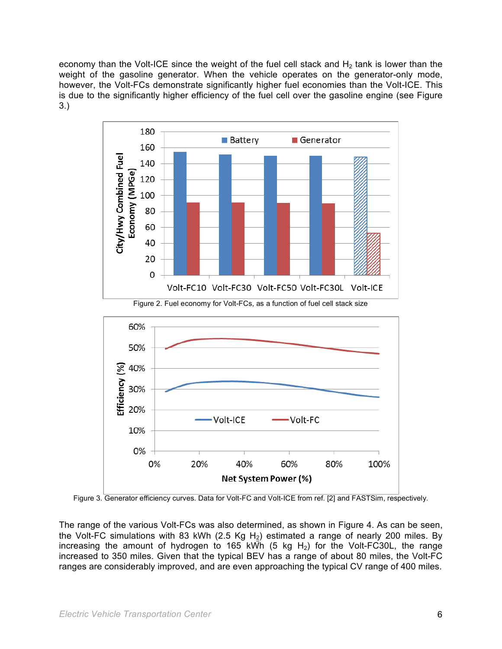economy than the Volt-ICE since the weight of the fuel cell stack and  $H<sub>2</sub>$  tank is lower than the weight of the gasoline generator. When the vehicle operates on the generator-only mode, however, the Volt-FCs demonstrate significantly higher fuel economies than the Volt-ICE. This is due to the significantly higher efficiency of the fuel cell over the gasoline engine (see Figure 3.)



Figure 3. Generator efficiency curves. Data for Volt-FC and Volt-ICE from ref. [2] and FASTSim, respectively.

The range of the various Volt-FCs was also determined, as shown in Figure 4. As can be seen, the Volt-FC simulations with 83 kWh (2.5 Kg H<sub>2</sub>) estimated a range of nearly 200 miles. By increasing the amount of hydrogen to 165 kWh (5 kg H<sub>2</sub>) for the Volt-FC30L, the range increased to 350 miles. Given that the typical BEV has a range of about 80 miles, the Volt-FC ranges are considerably improved, and are even approaching the typical CV range of 400 miles.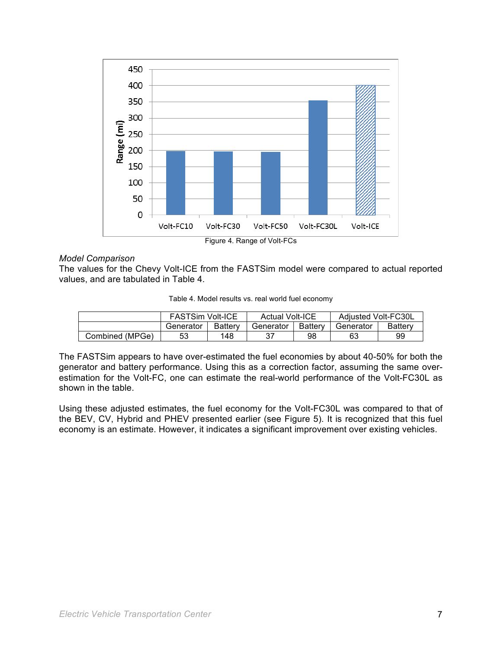

Figure 4. Range of Volt-FCs

#### *Model Comparison*

The values for the Chevy Volt-ICE from the FASTSim model were compared to actual reported values, and are tabulated in Table 4.

|  |  |  | Table 4. Model results vs. real world fuel economy |
|--|--|--|----------------------------------------------------|
|  |  |  |                                                    |

|                 | <b>FASTSim Volt-ICE</b> |         | <b>Actual Volt-ICE</b> |                | Adjusted Volt-FC30L |         |
|-----------------|-------------------------|---------|------------------------|----------------|---------------------|---------|
|                 | Generator               | Battery | Generator              | <b>Battery</b> | Generator           | Batterv |
| Combined (MPGe) |                         | 148     |                        | 98             | 63                  | 99      |

The FASTSim appears to have over-estimated the fuel economies by about 40-50% for both the generator and battery performance. Using this as a correction factor, assuming the same overestimation for the Volt-FC, one can estimate the real-world performance of the Volt-FC30L as shown in the table.

Using these adjusted estimates, the fuel economy for the Volt-FC30L was compared to that of the BEV, CV, Hybrid and PHEV presented earlier (see Figure 5). It is recognized that this fuel economy is an estimate. However, it indicates a significant improvement over existing vehicles.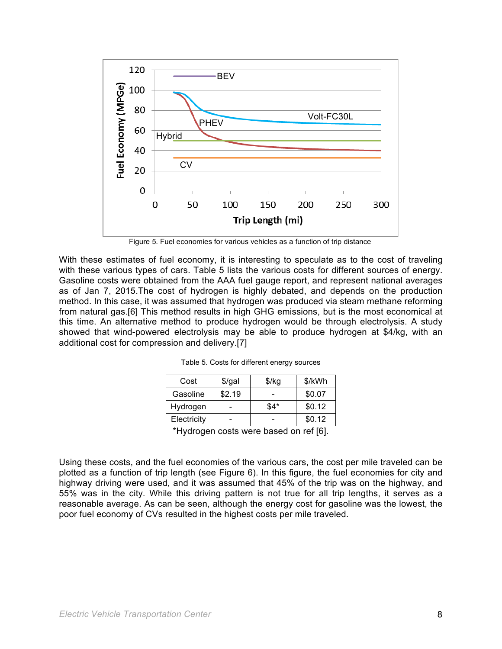

Figure 5. Fuel economies for various vehicles as a function of trip distance

With these estimates of fuel economy, it is interesting to speculate as to the cost of traveling with these various types of cars. Table 5 lists the various costs for different sources of energy. Gasoline costs were obtained from the AAA fuel gauge report, and represent national averages as of Jan 7, 2015.The cost of hydrogen is highly debated, and depends on the production method. In this case, it was assumed that hydrogen was produced via steam methane reforming from natural gas.[6] This method results in high GHG emissions, but is the most economical at this time. An alternative method to produce hydrogen would be through electrolysis. A study showed that wind-powered electrolysis may be able to produce hydrogen at \$4/kg, with an additional cost for compression and delivery.[7]

| Cost        | $$$ /gal | \$/kg | \$/kWh |
|-------------|----------|-------|--------|
| Gasoline    | \$2.19   |       | \$0.07 |
| Hydrogen    |          | \$4*  | \$0.12 |
| Electricity |          |       | \$0.12 |
| .           |          |       | .      |

Table 5. Costs for different energy sources

\*Hydrogen costs were based on ref [6].

Using these costs, and the fuel economies of the various cars, the cost per mile traveled can be plotted as a function of trip length (see Figure 6). In this figure, the fuel economies for city and highway driving were used, and it was assumed that 45% of the trip was on the highway, and 55% was in the city. While this driving pattern is not true for all trip lengths, it serves as a reasonable average. As can be seen, although the energy cost for gasoline was the lowest, the poor fuel economy of CVs resulted in the highest costs per mile traveled.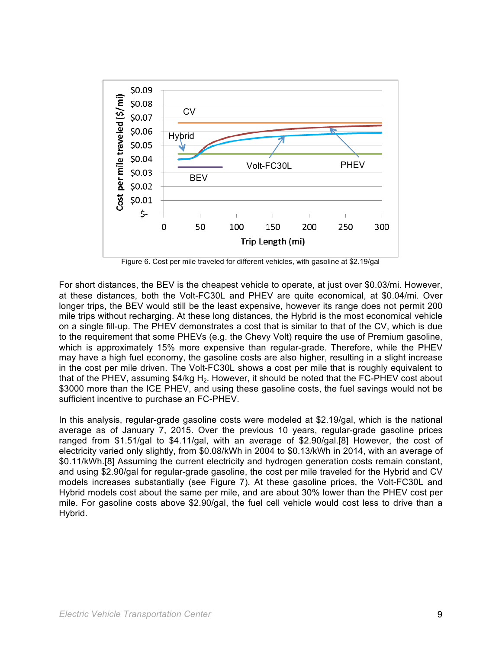![](_page_8_Figure_0.jpeg)

Figure 6. Cost per mile traveled for different vehicles, with gasoline at \$2.19/gal

For short distances, the BEV is the cheapest vehicle to operate, at just over \$0.03/mi. However, at these distances, both the Volt-FC30L and PHEV are quite economical, at \$0.04/mi. Over longer trips, the BEV would still be the least expensive, however its range does not permit 200 mile trips without recharging. At these long distances, the Hybrid is the most economical vehicle on a single fill-up. The PHEV demonstrates a cost that is similar to that of the CV, which is due to the requirement that some PHEVs (e.g. the Chevy Volt) require the use of Premium gasoline, which is approximately 15% more expensive than regular-grade. Therefore, while the PHEV may have a high fuel economy, the gasoline costs are also higher, resulting in a slight increase in the cost per mile driven. The Volt-FC30L shows a cost per mile that is roughly equivalent to that of the PHEV, assuming  $$4/kg H<sub>2</sub>$ . However, it should be noted that the FC-PHEV cost about \$3000 more than the ICE PHEV, and using these gasoline costs, the fuel savings would not be sufficient incentive to purchase an FC-PHEV.

In this analysis, regular-grade gasoline costs were modeled at \$2.19/gal, which is the national average as of January 7, 2015. Over the previous 10 years, regular-grade gasoline prices ranged from \$1.51/gal to \$4.11/gal, with an average of \$2.90/gal.[8] However, the cost of electricity varied only slightly, from \$0.08/kWh in 2004 to \$0.13/kWh in 2014, with an average of \$0.11/kWh.[8] Assuming the current electricity and hydrogen generation costs remain constant, and using \$2.90/gal for regular-grade gasoline, the cost per mile traveled for the Hybrid and CV models increases substantially (see Figure 7). At these gasoline prices, the Volt-FC30L and Hybrid models cost about the same per mile, and are about 30% lower than the PHEV cost per mile. For gasoline costs above \$2.90/gal, the fuel cell vehicle would cost less to drive than a Hybrid.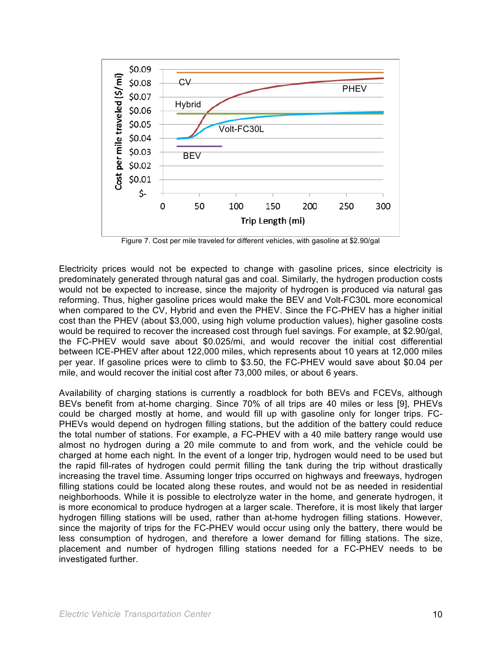![](_page_9_Figure_0.jpeg)

Figure 7. Cost per mile traveled for different vehicles, with gasoline at \$2.90/gal

Electricity prices would not be expected to change with gasoline prices, since electricity is predominately generated through natural gas and coal. Similarly, the hydrogen production costs would not be expected to increase, since the majority of hydrogen is produced via natural gas reforming. Thus, higher gasoline prices would make the BEV and Volt-FC30L more economical when compared to the CV, Hybrid and even the PHEV. Since the FC-PHEV has a higher initial cost than the PHEV (about \$3,000, using high volume production values), higher gasoline costs would be required to recover the increased cost through fuel savings. For example, at \$2.90/gal, the FC-PHEV would save about \$0.025/mi, and would recover the initial cost differential between ICE-PHEV after about 122,000 miles, which represents about 10 years at 12,000 miles per year. If gasoline prices were to climb to \$3.50, the FC-PHEV would save about \$0.04 per mile, and would recover the initial cost after 73,000 miles, or about 6 years.

Availability of charging stations is currently a roadblock for both BEVs and FCEVs, although BEVs benefit from at-home charging. Since 70% of all trips are 40 miles or less [9], PHEVs could be charged mostly at home, and would fill up with gasoline only for longer trips. FC-PHEVs would depend on hydrogen filling stations, but the addition of the battery could reduce the total number of stations. For example, a FC-PHEV with a 40 mile battery range would use almost no hydrogen during a 20 mile commute to and from work, and the vehicle could be charged at home each night. In the event of a longer trip, hydrogen would need to be used but the rapid fill-rates of hydrogen could permit filling the tank during the trip without drastically increasing the travel time. Assuming longer trips occurred on highways and freeways, hydrogen filling stations could be located along these routes, and would not be as needed in residential neighborhoods. While it is possible to electrolyze water in the home, and generate hydrogen, it is more economical to produce hydrogen at a larger scale. Therefore, it is most likely that larger hydrogen filling stations will be used, rather than at-home hydrogen filling stations. However, since the majority of trips for the FC-PHEV would occur using only the battery, there would be less consumption of hydrogen, and therefore a lower demand for filling stations. The size, placement and number of hydrogen filling stations needed for a FC-PHEV needs to be investigated further.